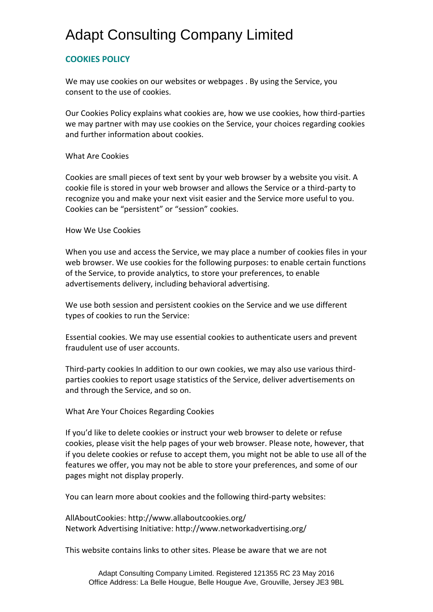## Adapt Consulting Company Limited

### **COOKIES POLICY**

We may use cookies on our websites or webpages . By using the Service, you consent to the use of cookies.

Our Cookies Policy explains what cookies are, how we use cookies, how third-parties we may partner with may use cookies on the Service, your choices regarding cookies and further information about cookies.

#### What Are Cookies

Cookies are small pieces of text sent by your web browser by a website you visit. A cookie file is stored in your web browser and allows the Service or a third-party to recognize you and make your next visit easier and the Service more useful to you. Cookies can be "persistent" or "session" cookies.

#### How We Use Cookies

When you use and access the Service, we may place a number of cookies files in your web browser. We use cookies for the following purposes: to enable certain functions of the Service, to provide analytics, to store your preferences, to enable advertisements delivery, including behavioral advertising.

We use both session and persistent cookies on the Service and we use different types of cookies to run the Service:

Essential cookies. We may use essential cookies to authenticate users and prevent fraudulent use of user accounts.

Third-party cookies In addition to our own cookies, we may also use various thirdparties cookies to report usage statistics of the Service, deliver advertisements on and through the Service, and so on.

#### What Are Your Choices Regarding Cookies

If you'd like to delete cookies or instruct your web browser to delete or refuse cookies, please visit the help pages of your web browser. Please note, however, that if you delete cookies or refuse to accept them, you might not be able to use all of the features we offer, you may not be able to store your preferences, and some of our pages might not display properly.

You can learn more about cookies and the following third-party websites:

AllAboutCookies: http://www.allaboutcookies.org/ Network Advertising Initiative: http://www.networkadvertising.org/

This website contains links to other sites. Please be aware that we are not